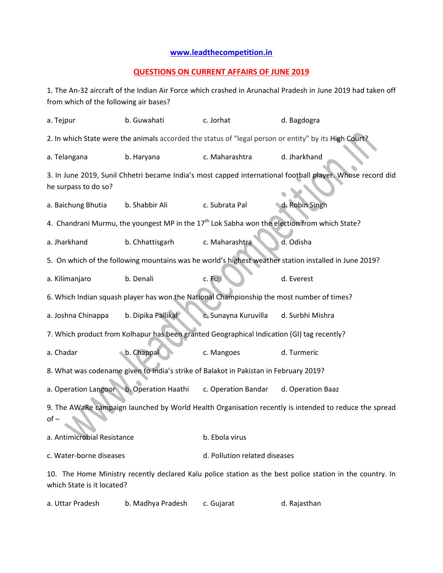## **[www.leadthecompetition.in](http://www.leadthecompetition.in/)**

## **QUESTIONS ON CURRENT AFFAIRS OF JUNE 2019**

1. The An-32 aircraft of the Indian Air Force which crashed in Arunachal Pradesh in June 2019 had taken off from which of the following air bases?

| a. Tejpur                                                                                                                               | b. Guwahati                                                                                           | c. Jorhat                     | d. Bagdogra                                                                                               |  |  |  |  |
|-----------------------------------------------------------------------------------------------------------------------------------------|-------------------------------------------------------------------------------------------------------|-------------------------------|-----------------------------------------------------------------------------------------------------------|--|--|--|--|
|                                                                                                                                         | 2. In which State were the animals accorded the status of "legal person or entity" by its High Court? |                               |                                                                                                           |  |  |  |  |
| a. Telangana                                                                                                                            | b. Haryana                                                                                            | c. Maharashtra                | d. Jharkhand                                                                                              |  |  |  |  |
| he surpass to do so?                                                                                                                    |                                                                                                       |                               | 3. In June 2019, Sunil Chhetri became India's most capped international football player. Whose record did |  |  |  |  |
| a. Baichung Bhutia                                                                                                                      | b. Shabbir Ali                                                                                        | c. Subrata Pal                | d. Robin Singh                                                                                            |  |  |  |  |
| 4. Chandrani Murmu, the youngest MP in the 17 <sup>th</sup> Lok Sabha won the election from which State?                                |                                                                                                       |                               |                                                                                                           |  |  |  |  |
| a. Jharkhand                                                                                                                            | b. Chhattisgarh                                                                                       | c. Maharashtra                | d. Odisha                                                                                                 |  |  |  |  |
|                                                                                                                                         | 5. On which of the following mountains was he world's highest weather station installed in June 2019? |                               |                                                                                                           |  |  |  |  |
| a. Kilimanjaro                                                                                                                          | b. Denali                                                                                             | c. Fuji                       | d. Everest                                                                                                |  |  |  |  |
|                                                                                                                                         | 6. Which Indian squash player has won the National Championship the most number of times?             |                               |                                                                                                           |  |  |  |  |
| a. Joshna Chinappa                                                                                                                      | b. Dipika Pallikal                                                                                    | c. Sunayna Kuruvilla          | d. Surbhi Mishra                                                                                          |  |  |  |  |
| 7. Which product from Kolhapur has been granted Geographical Indication (GI) tag recently?                                              |                                                                                                       |                               |                                                                                                           |  |  |  |  |
| a. Chadar                                                                                                                               | b. Chappal                                                                                            | c. Mangoes                    | d. Turmeric                                                                                               |  |  |  |  |
| 8. What was codename given to India's strike of Balakot in Pakistan in February 2019?                                                   |                                                                                                       |                               |                                                                                                           |  |  |  |  |
| a. Operation Langoor                                                                                                                    | b. Operation Haathi                                                                                   | c. Operation Bandar           | d. Operation Baaz                                                                                         |  |  |  |  |
| 9. The AWaRe campaign launched by World Health Organisation recently is intended to reduce the spread<br>$of -$                         |                                                                                                       |                               |                                                                                                           |  |  |  |  |
| a. Antimicrobial Resistance                                                                                                             |                                                                                                       | b. Ebola virus                |                                                                                                           |  |  |  |  |
| c. Water-borne diseases                                                                                                                 |                                                                                                       | d. Pollution related diseases |                                                                                                           |  |  |  |  |
| 10. The Home Ministry recently declared Kalu police station as the best police station in the country. In<br>which State is it located? |                                                                                                       |                               |                                                                                                           |  |  |  |  |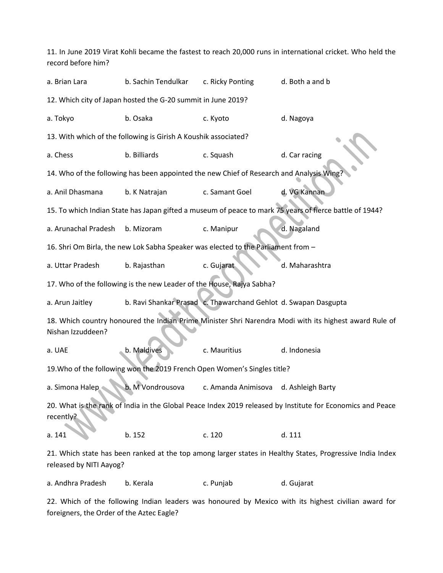11. In June 2019 Virat Kohli became the fastest to reach 20,000 runs in international cricket. Who held the record before him? a. Brian Lara b. Sachin Tendulkar c. Ricky Ponting d. Both a and b 12. Which city of Japan hosted the G-20 summit in June 2019? a. Tokyo b. Osaka c. Kyoto d. Nagoya 13. With which of the following is Girish A Koushik associated? a. Chess b. Billiards c. Squash d. Car racing 14. Who of the following has been appointed the new Chief of Research and Analysis W a. Anil Dhasmana b. K Natrajan c. Samant Goel d. VG Kannan 15. To which Indian State has Japan gifted a museum of peace to mark 75 years of fierce battle of 1944? a. Arunachal Pradesh b. Mizoram c. Manipur d. Nagaland 16. Shri Om Birla, the new Lok Sabha Speaker was elected to the Parliament from – a. Uttar Pradesh b. Rajasthan c. Gujarat d. Maharashtra 17. Who of the following is the new Leader of the House, Rajya Sabha? a. Arun Jaitley b. Ravi Shankar Prasad c. Thawarchand Gehlot d. Swapan Dasgupta 18. Which country honoured the Indian Prime Minister Shri Narendra Modi with its highest award Rule of Nishan Izzuddeen? a. UAE b. Maldives c. Mauritius d. Indonesia 19.Who of the following won the 2019 French Open Women's Singles title? a. Simona Halep b. M Vondrousova c. Amanda Animisova d. Ashleigh Barty 20. What is the rank of India in the Global Peace Index 2019 released by Institute for Economics and Peace recently? a. 141 **b.** 152 c. 120 d. 111 21. Which state has been ranked at the top among larger states in Healthy States, Progressive India Index released by NITI Aayog?

a. Andhra Pradesh b. Kerala c. Punjab d. Gujarat

22. Which of the following Indian leaders was honoured by Mexico with its highest civilian award for foreigners, the Order of the Aztec Eagle?